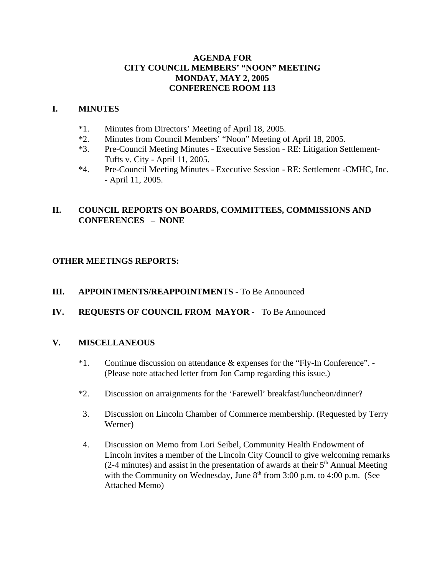## **AGENDA FOR CITY COUNCIL MEMBERS' "NOON" MEETING MONDAY, MAY 2, 2005 CONFERENCE ROOM 113**

## **I. MINUTES**

- \*1. Minutes from Directors' Meeting of April 18, 2005.
- \*2. Minutes from Council Members' "Noon" Meeting of April 18, 2005.
- \*3. Pre-Council Meeting Minutes Executive Session RE: Litigation Settlement-Tufts v. City - April 11, 2005.
- \*4. Pre-Council Meeting Minutes Executive Session RE: Settlement -CMHC, Inc. - April 11, 2005.

# **II. COUNCIL REPORTS ON BOARDS, COMMITTEES, COMMISSIONS AND CONFERENCES – NONE**

# **OTHER MEETINGS REPORTS:**

- **III. APPOINTMENTS/REAPPOINTMENTS**  To Be Announced
- **IV. REQUESTS OF COUNCIL FROM MAYOR** To Be Announced

## **V. MISCELLANEOUS**

- \*1. Continue discussion on attendance & expenses for the "Fly-In Conference". **-** (Please note attached letter from Jon Camp regarding this issue.)
- \*2. Discussion on arraignments for the 'Farewell' breakfast/luncheon/dinner?
- 3. Discussion on Lincoln Chamber of Commerce membership. (Requested by Terry Werner)
- 4. Discussion on Memo from Lori Seibel, Community Health Endowment of Lincoln invites a member of the Lincoln City Council to give welcoming remarks (2-4 minutes) and assist in the presentation of awards at their  $5<sup>th</sup>$  Annual Meeting with the Community on Wednesday, June  $8<sup>th</sup>$  from 3:00 p.m. to 4:00 p.m. (See Attached Memo)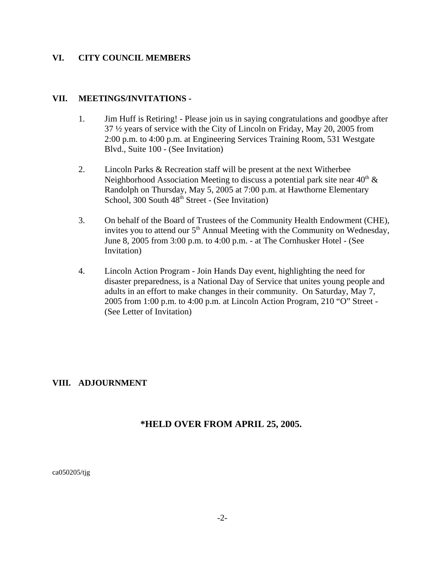#### **VI. CITY COUNCIL MEMBERS**

#### **VII. MEETINGS/INVITATIONS -**

- 1. Jim Huff is Retiring! Please join us in saying congratulations and goodbye after 37 ½ years of service with the City of Lincoln on Friday, May 20, 2005 from 2:00 p.m. to 4:00 p.m. at Engineering Services Training Room, 531 Westgate Blvd., Suite 100 - (See Invitation)
- 2. Lincoln Parks & Recreation staff will be present at the next Witherbee Neighborhood Association Meeting to discuss a potential park site near  $40<sup>th</sup> \&$ Randolph on Thursday, May 5, 2005 at 7:00 p.m. at Hawthorne Elementary School, 300 South  $48<sup>th</sup>$  Street - (See Invitation)
- 3. On behalf of the Board of Trustees of the Community Health Endowment (CHE), invites you to attend our  $5<sup>th</sup>$  Annual Meeting with the Community on Wednesday, June 8, 2005 from 3:00 p.m. to 4:00 p.m. - at The Cornhusker Hotel - (See Invitation)
- 4. Lincoln Action Program Join Hands Day event, highlighting the need for disaster preparedness, is a National Day of Service that unites young people and adults in an effort to make changes in their community. On Saturday, May 7, 2005 from 1:00 p.m. to 4:00 p.m. at Lincoln Action Program, 210 "O" Street - (See Letter of Invitation)

## **VIII. ADJOURNMENT**

# **\*HELD OVER FROM APRIL 25, 2005.**

ca050205/tjg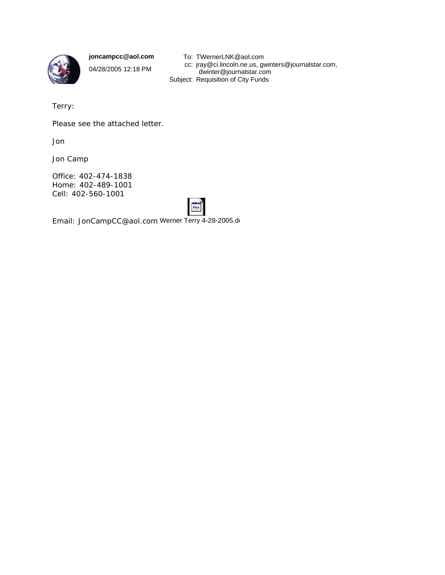

**joncampcc@aol.com**

04/28/2005 12:18 PM

To: TWernerLNK@aol.com cc: jray@ci.lincoln.ne.us, gwinters@journalstar.com, dwinter@journalstar.com Subject: Requisition of City Funds

Terry:

Please see the attached letter.

Jon

Jon Camp

Office: 402-474-1838 Home: 402-489-1001 Cell: 402-560-1001



Email: JonCampCC@aol.com Werner Terry 4-28-2005.do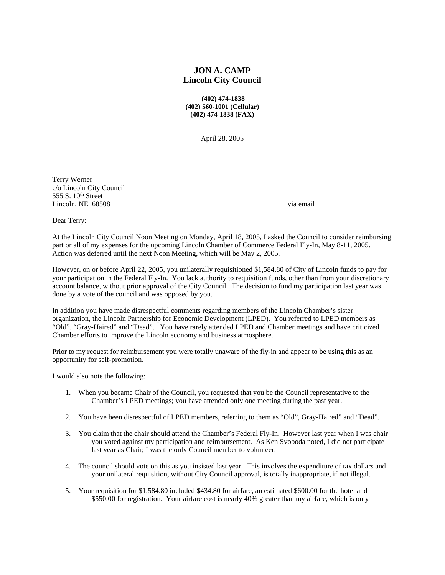## **JON A. CAMP Lincoln City Council**

 **(402) 474-1838 (402) 560-1001 (Cellular) (402) 474-1838 (FAX)**

April 28, 2005

Terry Werner c/o Lincoln City Council 555 S. 10<sup>th</sup> Street Lincoln, NE 68508 via email via email via email via email via email via email via email via email via email via email via email via email via email via email via email via email via email via email via email via email via

Dear Terry:

At the Lincoln City Council Noon Meeting on Monday, April 18, 2005, I asked the Council to consider reimbursing part or all of my expenses for the upcoming Lincoln Chamber of Commerce Federal Fly-In, May 8-11, 2005. Action was deferred until the next Noon Meeting, which will be May 2, 2005.

However, on or before April 22, 2005, you unilaterally requisitioned \$1,584.80 of City of Lincoln funds to pay for your participation in the Federal Fly-In. You lack authority to requisition funds, other than from your discretionary account balance, without prior approval of the City Council. The decision to fund my participation last year was done by a vote of the council and was opposed by you.

In addition you have made disrespectful comments regarding members of the Lincoln Chamber's sister organization, the Lincoln Partnership for Economic Development (LPED). You referred to LPED members as "Old", "Gray-Haired" and "Dead". You have rarely attended LPED and Chamber meetings and have criticized Chamber efforts to improve the Lincoln economy and business atmosphere.

Prior to my request for reimbursement you were totally unaware of the fly-in and appear to be using this as an opportunity for self-promotion.

I would also note the following:

- 1. When you became Chair of the Council, you requested that you be the Council representative to the Chamber's LPED meetings; you have attended only one meeting during the past year.
- 2. You have been disrespectful of LPED members, referring to them as "Old", Gray-Haired" and "Dead".
- 3. You claim that the chair should attend the Chamber's Federal Fly-In. However last year when I was chair you voted against my participation and reimbursement. As Ken Svoboda noted, I did not participate last year as Chair; I was the only Council member to volunteer.
- 4. The council should vote on this as you insisted last year. This involves the expenditure of tax dollars and your unilateral requisition, without City Council approval, is totally inappropriate, if not illegal.
- 5. Your requisition for \$1,584.80 included \$434.80 for airfare, an estimated \$600.00 for the hotel and \$550.00 for registration. Your airfare cost is nearly 40% greater than my airfare, which is only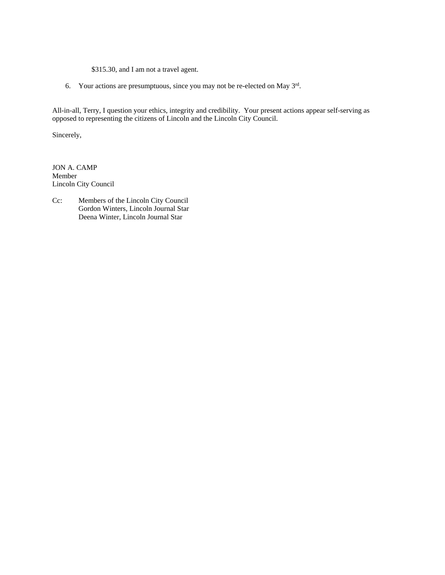- \$315.30, and I am not a travel agent.
- 6. Your actions are presumptuous, since you may not be re-elected on May 3rd.

All-in-all, Terry, I question your ethics, integrity and credibility. Your present actions appear self-serving as opposed to representing the citizens of Lincoln and the Lincoln City Council.

Sincerely,

JON A. CAMP Member Lincoln City Council

Cc: Members of the Lincoln City Council Gordon Winters, Lincoln Journal Star Deena Winter, Lincoln Journal Star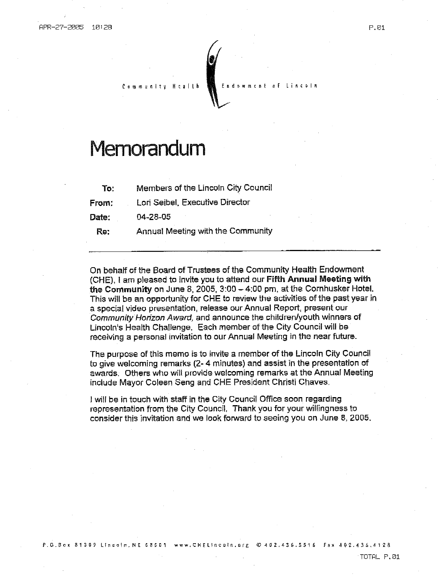# Memorandum

Members of the Lincoln City Council To:

 $H$ calth

Lori Seibel, Executive Director From:

Date: 04-28-05

Re: Annual Meeting with the Community

On behalf of the Board of Trustees of the Community Health Endowment (CHE), I am pleased to invite you to attend our Fifth Annual Meeting with the Community on June 8, 2005,  $3:00 - 4:00$  pm, at the Cornhusker Hotel. This will be an opportunity for CHE to review the activities of the past year in a special video presentation, release our Annual Report, present our Community Horizon Award, and announce the children/youth winners of Lincoln's Health Challenge. Each member of the City Council will be receiving a personal invitation to our Annual Meeting in the near future.

Εn

The purpose of this memo is to invite a member of the Lincoln City Council to give welcoming remarks (2-4 minutes) and assist in the presentation of awards. Others who will provide welcoming remarks at the Annual Meeting include Mayor Coleen Seng and CHE President Christi Chaves.

I will be in touch with staff in the City Council Office soon regarding representation from the City Council. Thank you for your willingness to consider this invitation and we look forward to seeing you on June 8, 2005.

TOTAL P.01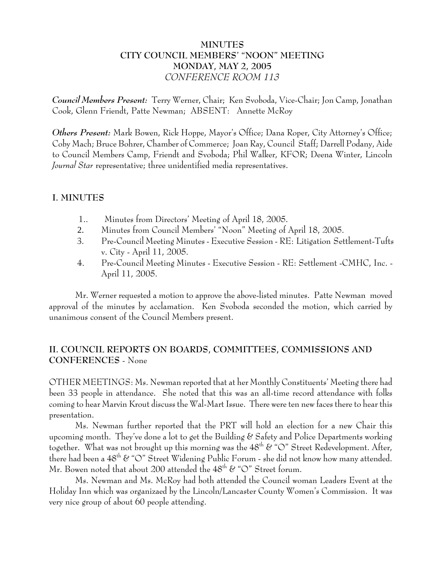## **MINUTES CITY COUNCIL MEMBERS' "NOON" MEETING MONDAY, MAY 2, 2005** *CONFERENCE ROOM 113*

*Council Members Present:* Terry Werner, Chair; Ken Svoboda, Vice-Chair; Jon Camp, Jonathan Cook, Glenn Friendt, Patte Newman; ABSENT: Annette McRoy

*Others Present:* Mark Bowen, Rick Hoppe, Mayor's Office; Dana Roper, City Attorney's Office; Coby Mach; Bruce Bohrer, Chamber of Commerce; Joan Ray, Council Staff; Darrell Podany, Aide to Council Members Camp, Friendt and Svoboda; Phil Walker, KFOR; Deena Winter, Lincoln *Journal Star* representative; three unidentified media representatives.

## **I. MINUTES**

- 1.. Minutes from Directors' Meeting of April 18, 2005.
- 2. Minutes from Council Members' "Noon" Meeting of April 18, 2005.
- 3. Pre-Council Meeting Minutes Executive Session RE: Litigation Settlement-Tufts v. City - April 11, 2005.
- 4. Pre-Council Meeting Minutes Executive Session RE: Settlement -CMHC, Inc. April 11, 2005.

Mr. Werner requested a motion to approve the above-listed minutes. Patte Newman moved approval of the minutes by acclamation. Ken Svoboda seconded the motion, which carried by unanimous consent of the Council Members present.

# **II. COUNCIL REPORTS ON BOARDS, COMMITTEES, COMMISSIONS AND CONFERENCES** - None

OTHER MEETINGS: Ms. Newman reported that at her Monthly Constituents' Meeting there had been 33 people in attendance. She noted that this was an all-time record attendance with folks coming to hear Marvin Krout discuss the Wal-Mart Issue. There were ten new faces there to hear this presentation.

Ms. Newman further reported that the PRT will hold an election for a new Chair this upcoming month. They've done a lot to get the Building  $\&$  Safety and Police Departments working together. What was not brought up this morning was the  $48<sup>th</sup>$  & " $\circ$ " Street Redevelopment. After, there had been a  $48^{th}$  & "O" Street Widening Public Forum - she did not know how many attended. Mr. Bowen noted that about 200 attended the  $48^{\text{th}}$  & "O" Street forum.

Ms. Newman and Ms. McRoy had both attended the Council woman Leaders Event at the Holiday Inn which was organizaed by the Lincoln/Lancaster County Women's Commission. It was very nice group of about 60 people attending.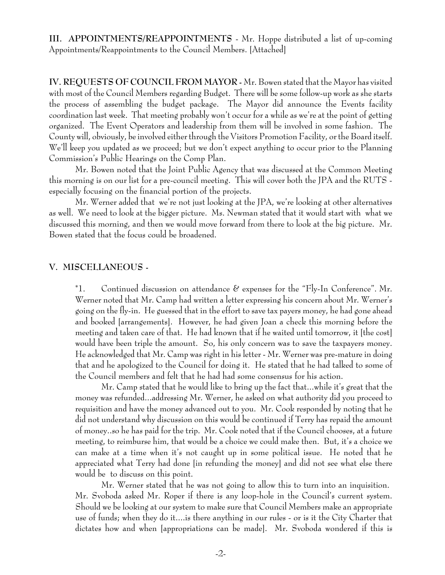**III. APPOINTMENTS/REAPPOINTMENTS** - Mr. Hoppe distributed a list of up-coming Appointments/Reappointments to the Council Members. [Attached]

**IV. REQUESTS OF COUNCIL FROM MAYOR -** Mr. Bowen stated that the Mayor has visited with most of the Council Members regarding Budget. There will be some follow-up work as she starts the process of assembling the budget package. The Mayor did announce the Events facility coordination last week. That meeting probably won't occur for a while as we're at the point of getting organized. The Event Operators and leadership from them will be involved in some fashion. The County will, obviously, be involved either through the Visitors Promotion Facility, or the Board itself. We'll keep you updated as we proceed; but we don't expect anything to occur prior to the Planning Commission's Public Hearings on the Comp Plan.

Mr. Bowen noted that the Joint Public Agency that was discussed at the Common Meeting this morning is on our list for a pre-council meeting. This will cover both the JPA and the RUTS especially focusing on the financial portion of the projects.

Mr. Werner added that we're not just looking at the JPA, we're looking at other alternatives as well. We need to look at the bigger picture. Ms. Newman stated that it would start with what we discussed this morning, and then we would move forward from there to look at the big picture. Mr. Bowen stated that the focus could be broadened.

#### **V. MISCELLANEOUS -**

\*1. Continued discussion on attendance  $\mathscr C$  expenses for the "Fly-In Conference". Mr. Werner noted that Mr. Camp had written a letter expressing his concern about Mr. Werner's going on the fly-in. He guessed that in the effort to save tax payers money, he had gone ahead and booked [arrangements]. However, he had given Joan a check this morning before the meeting and taken care of that. He had known that if he waited until tomorrow, it [the cost] would have been triple the amount. So, his only concern was to save the taxpayers money. He acknowledged that Mr. Camp was right in his letter - Mr. Werner was pre-mature in doing that and he apologized to the Council for doing it. He stated that he had talked to some of the Council members and felt that he had had some consensus for his action.

Mr. Camp stated that he would like to bring up the fact that...while it's great that the money was refunded...addressing Mr. Werner, he asked on what authority did you proceed to requisition and have the money advanced out to you. Mr. Cook responded by noting that he did not understand why discussion on this would be continued if Terry has repaid the amount of money..so he has paid for the trip. Mr. Cook noted that if the Council chooses, at a future meeting, to reimburse him, that would be a choice we could make then. But, it's a choice we can make at a time when it's not caught up in some political issue. He noted that he appreciated what Terry had done [in refunding the money] and did not see what else there would be to discuss on this point.

Mr. Werner stated that he was not going to allow this to turn into an inquisition. Mr. Svoboda asked Mr. Roper if there is any loop-hole in the Council's current system. Should we be looking at our system to make sure that Council Members make an appropriate use of funds; when they do it....is there anything in our rules - or is it the City Charter that dictates how and when [appropriations can be made]. Mr. Svoboda wondered if this is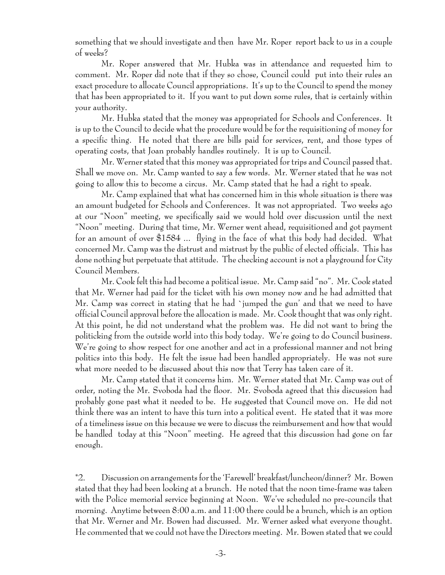something that we should investigate and then have Mr. Roper report back to us in a couple of weeks?

Mr. Roper answered that Mr. Hubka was in attendance and requested him to comment. Mr. Roper did note that if they so chose, Council could put into their rules an exact procedure to allocate Council appropriations. It's up to the Council to spend the money that has been appropriated to it. If you want to put down some rules, that is certainly within your authority.

Mr. Hubka stated that the money was appropriated for Schools and Conferences. It is up to the Council to decide what the procedure would be for the requisitioning of money for a specific thing. He noted that there are bills paid for services, rent, and those types of operating costs, that Joan probably handles routinely. It is up to Council.

Mr. Werner stated that this money was appropriated for trips and Council passed that. Shall we move on. Mr. Camp wanted to say a few words. Mr. Werner stated that he was not going to allow this to become a circus. Mr. Camp stated that he had a right to speak.

Mr. Camp explained that what has concerned him in this whole situation is there was an amount budgeted for Schools and Conferences. It was not appropriated. Two weeks ago at our "Noon" meeting, we specifically said we would hold over discussion until the next "Noon" meeting. During that time, Mr. Werner went ahead, requisitioned and got payment for an amount of over \$1584 ... flying in the face of what this body had decided. What concerned Mr. Camp was the distrust and mistrust by the public of elected officials. This has done nothing but perpetuate that attitude. The checking account is not a playground for City Council Members.

Mr. Cook felt this had become a political issue. Mr. Camp said "no". Mr. Cook stated that Mr. Werner had paid for the ticket with his own money now and he had admitted that Mr. Camp was correct in stating that he had `jumped the gun' and that we need to have official Council approval before the allocation is made. Mr. Cook thought that was only right. At this point, he did not understand what the problem was. He did not want to bring the politicking from the outside world into this body today. We're going to do Council business. We're going to show respect for one another and act in a professional manner and not bring politics into this body. He felt the issue had been handled appropriately. He was not sure what more needed to be discussed about this now that Terry has taken care of it.

Mr. Camp stated that it concerns him. Mr. Werner stated that Mr. Camp was out of order, noting the Mr. Svoboda had the floor. Mr. Svoboda agreed that this discussion had probably gone past what it needed to be. He suggested that Council move on. He did not think there was an intent to have this turn into a political event. He stated that it was more of a timeliness issue on this because we were to discuss the reimbursement and how that would be handled today at this "Noon" meeting. He agreed that this discussion had gone on far enough.

\*2. Discussion on arrangements for the 'Farewell' breakfast/luncheon/dinner? Mr. Bowen stated that they had been looking at a brunch. He noted that the noon time-frame was taken with the Police memorial service beginning at Noon. We've scheduled no pre-councils that morning. Anytime between 8:00 a.m. and 11:00 there could be a brunch, which is an option that Mr. Werner and Mr. Bowen had discussed. Mr. Werner asked what everyone thought. He commented that we could not have the Directors meeting. Mr. Bowen stated that we could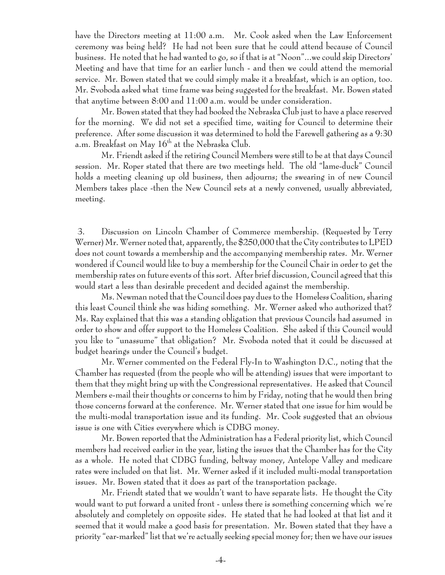have the Directors meeting at 11:00 a.m. Mr. Cook asked when the Law Enforcement ceremony was being held? He had not been sure that he could attend because of Council business. He noted that he had wanted to go, so if that is at "Noon"...we could skip Directors' Meeting and have that time for an earlier lunch - and then we could attend the memorial service. Mr. Bowen stated that we could simply make it a breakfast, which is an option, too. Mr. Svoboda asked what time frame was being suggested for the breakfast. Mr. Bowen stated that anytime between 8:00 and 11:00 a.m. would be under consideration.

Mr. Bowen stated that they had booked the Nebraska Club just to have a place reserved for the morning. We did not set a specified time, waiting for Council to determine their preference. After some discussion it was determined to hold the Farewell gathering as a 9:30 a.m. Breakfast on May  $16^{th}$  at the Nebraska Club.

Mr. Friendt asked if the retiring Council Members were still to be at that days Council session. Mr. Roper stated that there are two meetings held. The old "lame-duck" Council holds a meeting cleaning up old business, then adjourns; the swearing in of new Council Members takes place -then the New Council sets at a newly convened, usually abbreviated, meeting.

 3. Discussion on Lincoln Chamber of Commerce membership. (Requested by Terry Werner) Mr. Werner noted that, apparently, the \$250,000 that the City contributes to LPED does not count towards a membership and the accompanying membership rates. Mr. Werner wondered if Council would like to buy a membership for the Council Chair in order to get the membership rates on future events of this sort. After brief discussion, Council agreed that this would start a less than desirable precedent and decided against the membership.

Ms. Newman noted that the Council does pay dues to the Homeless Coalition, sharing this least Council think she was hiding something. Mr. Werner asked who authorized that? Ms. Ray explained that this was a standing obligation that previous Councils had assumed in order to show and offer support to the Homeless Coalition. She asked if this Council would you like to "unassume" that obligation? Mr. Svoboda noted that it could be discussed at budget hearings under the Council's budget.

Mr. Werner commented on the Federal Fly-In to Washington D.C., noting that the Chamber has requested (from the people who will be attending) issues that were important to them that they might bring up with the Congressional representatives. He asked that Council Members e-mail their thoughts or concerns to him by Friday, noting that he would then bring those concerns forward at the conference. Mr. Werner stated that one issue for him would be the multi-modal transportation issue and its funding. Mr. Cook suggested that an obvious issue is one with Cities everywhere which is CDBG money.

Mr. Bowen reported that the Administration has a Federal priority list, which Council members had received earlier in the year, listing the issues that the Chamber has for the City as a whole. He noted that CDBG funding, beltway money, Antelope Valley and medicare rates were included on that list. Mr. Werner asked if it included multi-modal transportation issues. Mr. Bowen stated that it does as part of the transportation package.

Mr. Friendt stated that we wouldn't want to have separate lists. He thought the City would want to put forward a united front - unless there is something concerning which we're absolutely and completely on opposite sides. He stated that he had looked at that list and it seemed that it would make a good basis for presentation. Mr. Bowen stated that they have a priority "ear-marked" list that we're actually seeking special money for; then we have our issues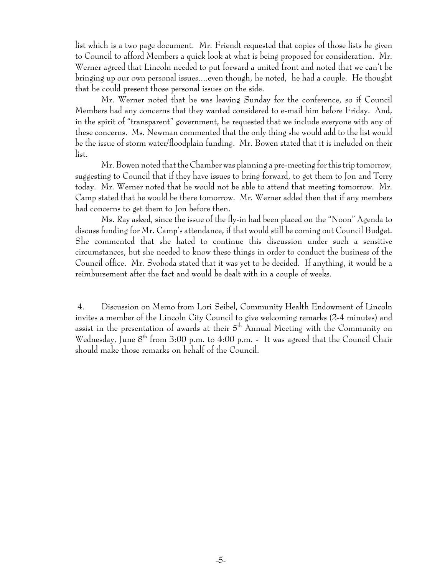list which is a two page document. Mr. Friendt requested that copies of those lists be given to Council to afford Members a quick look at what is being proposed for consideration. Mr. Werner agreed that Lincoln needed to put forward a united front and noted that we can't be bringing up our own personal issues....even though, he noted, he had a couple. He thought that he could present those personal issues on the side.

Mr. Werner noted that he was leaving Sunday for the conference, so if Council Members had any concerns that they wanted considered to e-mail him before Friday. And, in the spirit of "transparent" government, he requested that we include everyone with any of these concerns. Ms. Newman commented that the only thing she would add to the list would be the issue of storm water/floodplain funding. Mr. Bowen stated that it is included on their list.

Mr. Bowen noted that the Chamber was planning a pre-meeting for this trip tomorrow, suggesting to Council that if they have issues to bring forward, to get them to Jon and Terry today. Mr. Werner noted that he would not be able to attend that meeting tomorrow. Mr. Camp stated that he would be there tomorrow. Mr. Werner added then that if any members had concerns to get them to Jon before then.

Ms. Ray asked, since the issue of the fly-in had been placed on the "Noon" Agenda to discuss funding for Mr. Camp's attendance, if that would still be coming out Council Budget. She commented that she hated to continue this discussion under such a sensitive circumstances, but she needed to know these things in order to conduct the business of the Council office. Mr. Svoboda stated that it was yet to be decided. If anything, it would be a reimbursement after the fact and would be dealt with in a couple of weeks.

 4. Discussion on Memo from Lori Seibel, Community Health Endowment of Lincoln invites a member of the Lincoln City Council to give welcoming remarks (2-4 minutes) and assist in the presentation of awards at their  $5<sup>th</sup>$  Annual Meeting with the Community on Wednesday, June 8<sup>th</sup> from 3:00 p.m. to 4:00 p.m. - It was agreed that the Council Chair should make those remarks on behalf of the Council.